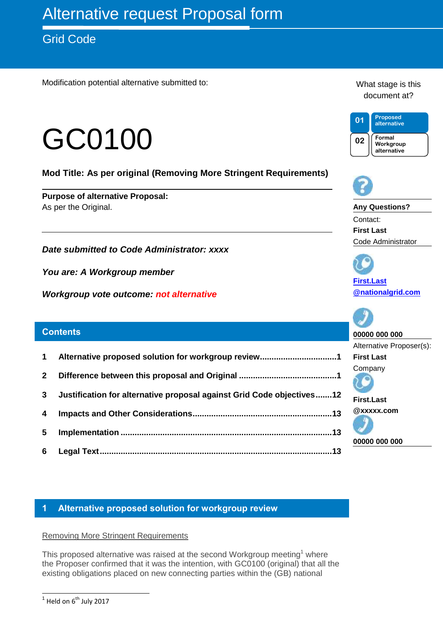# Grid Code

Modification potential alternative submitted to:

# GC0100

**Mod Title: As per original (Removing More Stringent Requirements)**

**Purpose of alternative Proposal:** As per the Original.

*Date submitted to Code Administrator: xxxx*

*You are: A Workgroup member* 

*Workgroup vote outcome: not alternative*

#### **Contents**

- **1 [Alternative proposed solution for workgroup review.................................1](#page-0-0)**
- **2 [Difference between this proposal and Original](#page-0-1) ..........................................1**
- **3 [Justification for alternative proposal against Grid Code objectives.......12](#page-11-0)**
- **4 [Impacts and Other Considerations............................................................13](#page-12-0)**
- **5 Implementation [...........................................................................................13](#page-12-1)**
- **6 [Legal Text....................................................................................................13](#page-12-2)**

# <span id="page-0-0"></span>**1 Alternative proposed solution for workgroup review**

#### <span id="page-0-1"></span>Removing More Stringent Requirements

This proposed alternative was raised at the second Workgroup meeting<sup>1</sup> where the Proposer confirmed that it was the intention, with GC0100 (original) that all the existing obligations placed on new connecting parties within the (GB) national

What stage is this document at?





**Any Questions?** Contact: **First Last** Code Administrator

**[First.Last](mailto:First.Last@nationalgrid.com) [@nationalgrid.com](mailto:First.Last@nationalgrid.com)**

**00000 000 000** Alternative Proposer(s): **First Last** Company **First.Last**

**@xxxxx.com** 

**00000 000 000**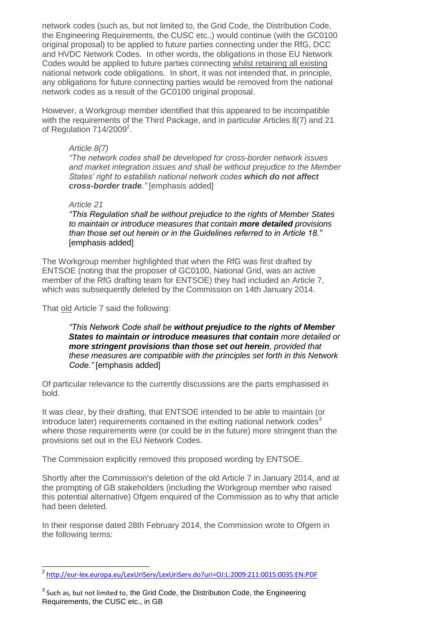network codes (such as, but not limited to, the Grid Code, the Distribution Code, the Engineering Requirements, the CUSC etc.,) would continue (with the GC0100 original proposal) to be applied to future parties connecting under the RfG, DCC and HVDC Network Codes. In other words, the obligations in those EU Network Codes would be applied to future parties connecting whilst retaining all existing national network code obligations. In short, it was not intended that, in principle, any obligations for future connecting parties would be removed from the national network codes as a result of the GC0100 original proposal.

However, a Workgroup member identified that this appeared to be incompatible with the requirements of the Third Package, and in particular Articles 8(7) and 21 of Regulation 714/2009<sup>2</sup>.

#### *Article 8(7)*

*"The network codes shall be developed for cross-border network issues and market integration issues and shall be without prejudice to the Member States' right to establish national network codes which do not affect cross-border trade."* [emphasis added]

#### *Article 21*

*"This Regulation shall be without prejudice to the rights of Member States to maintain or introduce measures that contain more detailed provisions than those set out herein or in the Guidelines referred to in Article 18."* [emphasis added]

The Workgroup member highlighted that when the RfG was first drafted by ENTSOE (noting that the proposer of GC0100, National Grid, was an active member of the RfG drafting team for ENTSOE) they had included an Article 7, which was subsequently deleted by the Commission on 14th January 2014.

That old Article 7 said the following:

*"This Network Code shall be without prejudice to the rights of Member States to maintain or introduce measures that contain more detailed or more stringent provisions than those set out herein, provided that these measures are compatible with the principles set forth in this Network Code."* [emphasis added]

Of particular relevance to the currently discussions are the parts emphasised in bold.

It was clear, by their drafting, that ENTSOE intended to be able to maintain (or introduce later) requirements contained in the exiting national network codes<sup>3</sup> where those requirements were (or could be in the future) more stringent than the provisions set out in the EU Network Codes.

The Commission explicitly removed this proposed wording by ENTSOE.

Shortly after the Commission's deletion of the old Article 7 in January 2014, and at the prompting of GB stakeholders (including the Workgroup member who raised this potential alternative) Ofgem enquired of the Commission as to why that article had been deleted.

In their response dated 28th February 2014, the Commission wrote to Ofgem in the following terms:

<sup>-</sup>2 <http://eur-lex.europa.eu/LexUriServ/LexUriServ.do?uri=OJ:L:2009:211:0015:0035:EN:PDF>

 $^3$  Such as, but not limited to, the Grid Code, the Distribution Code, the Engineering Requirements, the CUSC etc., in GB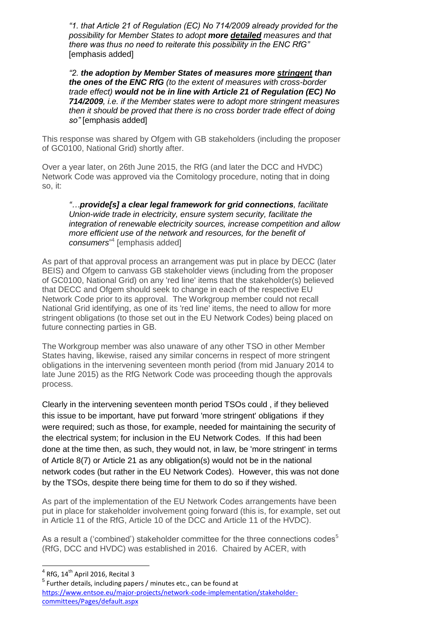*"1. that Article 21 of Regulation (EC) No 714/2009 already provided for the possibility for Member States to adopt more detailed measures and that there was thus no need to reiterate this possibility in the ENC RfG"* [emphasis added]

*"2. the adoption by Member States of measures more stringent than the ones of the ENC RfG (to the extent of measures with cross-border trade effect) would not be in line with Article 21 of Regulation (EC) No 714/2009, i.e. if the Member states were to adopt more stringent measures then it should be proved that there is no cross border trade effect of doing so"* [emphasis added]

This response was shared by Ofgem with GB stakeholders (including the proposer of GC0100, National Grid) shortly after.

Over a year later, on 26th June 2015, the RfG (and later the DCC and HVDC) Network Code was approved via the Comitology procedure, noting that in doing so, it:

*"…provide[s] a clear legal framework for grid connections, facilitate Union-wide trade in electricity, ensure system security, facilitate the integration of renewable electricity sources, increase competition and allow more efficient use of the network and resources, for the benefit of consumers*" 4 [emphasis added]

As part of that approval process an arrangement was put in place by DECC (later BEIS) and Ofgem to canvass GB stakeholder views (including from the proposer of GC0100, National Grid) on any 'red line' items that the stakeholder(s) believed that DECC and Ofgem should seek to change in each of the respective EU Network Code prior to its approval. The Workgroup member could not recall National Grid identifying, as one of its 'red line' items, the need to allow for more stringent obligations (to those set out in the EU Network Codes) being placed on future connecting parties in GB.

The Workgroup member was also unaware of any other TSO in other Member States having, likewise, raised any similar concerns in respect of more stringent obligations in the intervening seventeen month period (from mid January 2014 to late June 2015) as the RfG Network Code was proceeding though the approvals process.

Clearly in the intervening seventeen month period TSOs could , if they believed this issue to be important, have put forward 'more stringent' obligations if they were required; such as those, for example, needed for maintaining the security of the electrical system; for inclusion in the EU Network Codes. If this had been done at the time then, as such, they would not, in law, be 'more stringent' in terms of Article 8(7) or Article 21 as any obligation(s) would not be in the national network codes (but rather in the EU Network Codes). However, this was not done by the TSOs, despite there being time for them to do so if they wished.

As part of the implementation of the EU Network Codes arrangements have been put in place for stakeholder involvement going forward (this is, for example, set out in Article 11 of the RfG, Article 10 of the DCC and Article 11 of the HVDC).

As a result a ('combined') stakeholder committee for the three connections codes<sup>5</sup> (RfG, DCC and HVDC) was established in 2016. Chaired by ACER, with

**<sup>4</sup>**<br><sup>4</sup> RfG, 14<sup>th</sup> April 2016, Recital 3

<sup>5</sup> Further details, including papers / minutes etc., can be found at [https://www.entsoe.eu/major-projects/network-code-implementation/stakeholder](https://www.entsoe.eu/major-projects/network-code-implementation/stakeholder-committees/Pages/default.aspx)[committees/Pages/default.aspx](https://www.entsoe.eu/major-projects/network-code-implementation/stakeholder-committees/Pages/default.aspx)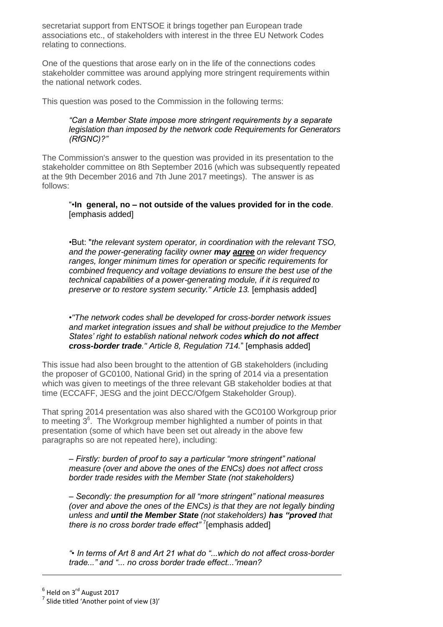secretariat support from ENTSOE it brings together pan European trade associations etc., of stakeholders with interest in the three EU Network Codes relating to connections.

One of the questions that arose early on in the life of the connections codes stakeholder committee was around applying more stringent requirements within the national network codes.

This question was posed to the Commission in the following terms:

#### *"Can a Member State impose more stringent requirements by a separate legislation than imposed by the network code Requirements for Generators (RfGNC)?"*

The Commission's answer to the question was provided in its presentation to the stakeholder committee on 8th September 2016 (which was subsequently repeated at the 9th December 2016 and 7th June 2017 meetings). The answer is as follows:

#### "•**In general, no – not outside of the values provided for in the code**. [emphasis added]

•But: "*the relevant system operator, in coordination with the relevant TSO, and the power-generating facility owner may agree on wider frequency ranges, longer minimum times for operation or specific requirements for combined frequency and voltage deviations to ensure the best use of the technical capabilities of a power-generating module, if it is required to preserve or to restore system security." Article 13.* [emphasis added]

•*"The network codes shall be developed for cross-border network issues and market integration issues and shall be without prejudice to the Member States' right to establish national network codes which do not affect cross-border trade." Article 8, Regulation 714.*" [emphasis added]

This issue had also been brought to the attention of GB stakeholders (including the proposer of GC0100, National Grid) in the spring of 2014 via a presentation which was given to meetings of the three relevant GB stakeholder bodies at that time (ECCAFF, JESG and the joint DECC/Ofgem Stakeholder Group).

That spring 2014 presentation was also shared with the GC0100 Workgroup prior to meeting  $3<sup>6</sup>$ . The Workgroup member highlighted a number of points in that presentation (some of which have been set out already in the above few paragraphs so are not repeated here), including:

*– Firstly: burden of proof to say a particular "more stringent" national measure (over and above the ones of the ENCs) does not affect cross border trade resides with the Member State (not stakeholders)*

*– Secondly: the presumption for all "more stringent" national measures (over and above the ones of the ENCs) is that they are not legally binding unless and until the Member State (not stakeholders) has "proved that there is no cross border trade effect"* <sup>7</sup> [emphasis added]

*"• In terms of Art 8 and Art 21 what do "...which do not affect cross-border trade..." and "... no cross border trade effect..."mean?*

 $\overline{a}$ 

 $^6$  Held on 3<sup>rd</sup> August 2017

 $<sup>7</sup>$  Slide titled 'Another point of view (3)'</sup>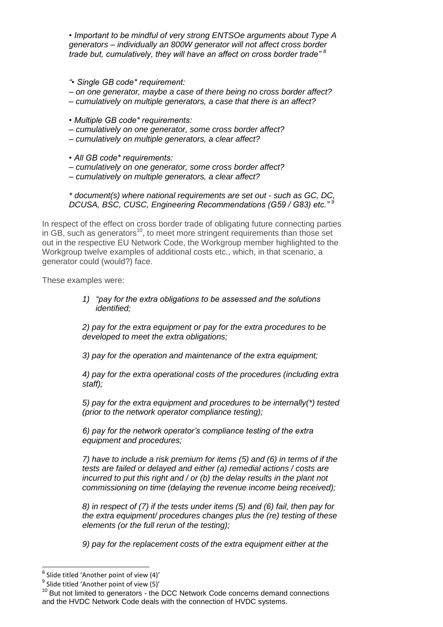*• Important to be mindful of very strong ENTSOe arguments about Type A generators – individually an 800W generator will not affect cross border trade but, cumulatively, they will have an affect on cross border trade" <sup>8</sup>*

*"• Single GB code\* requirement:*

*– on one generator, maybe a case of there being no cross border affect?*

*– cumulatively on multiple generators, a case that there is an affect?*

*• Multiple GB code\* requirements:*

- *– cumulatively on one generator, some cross border affect?*
- *– cumulatively on multiple generators, a clear affect?*

*• All GB code\* requirements:*

*– cumulatively on one generator, some cross border affect?*

*– cumulatively on multiple generators, a clear affect?*

*\* document(s) where national requirements are set out - such as GC, DC, DCUSA, BSC, CUSC, Engineering Recommendations (G59 / G83) etc." <sup>9</sup>*

In respect of the effect on cross border trade of obligating future connecting parties in GB, such as generators<sup>10</sup>, to meet more stringent requirements than those set out in the respective EU Network Code, the Workgroup member highlighted to the Workgroup twelve examples of additional costs etc., which, in that scenario, a generator could (would?) face.

These examples were:

*1) "pay for the extra obligations to be assessed and the solutions identified;*

*2) pay for the extra equipment or pay for the extra procedures to be developed to meet the extra obligations;*

*3) pay for the operation and maintenance of the extra equipment;*

*4) pay for the extra operational costs of the procedures (including extra staff);*

*5) pay for the extra equipment and procedures to be internally(\*) tested (prior to the network operator compliance testing);*

*6) pay for the network operator's compliance testing of the extra equipment and procedures;*

*7) have to include a risk premium for items (5) and (6) in terms of if the tests are failed or delayed and either (a) remedial actions / costs are incurred to put this right and / or (b) the delay results in the plant not commissioning on time (delaying the revenue income being received);*

*8) in respect of (7) if the tests under items (5) and (6) fail, then pay for the extra equipment/ procedures changes plus the (re) testing of these elements (or the full rerun of the testing);*

*9) pay for the replacement costs of the extra equipment either at the* 

 8 Slide titled 'Another point of view (4)'

 $^9$  Slide titled 'Another point of view (5)'

 $10$  But not limited to generators - the DCC Network Code concerns demand connections and the HVDC Network Code deals with the connection of HVDC systems.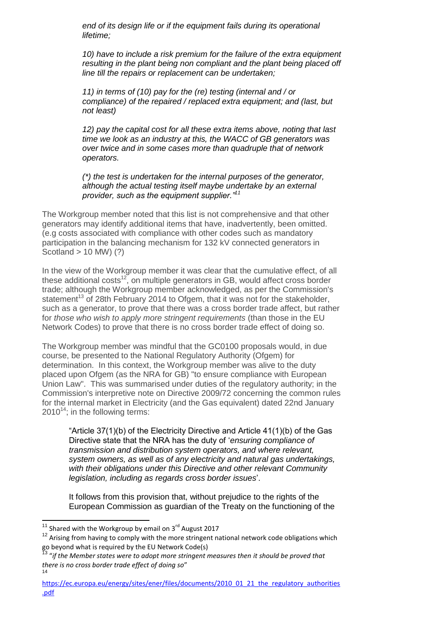*end of its design life or if the equipment fails during its operational lifetime;*

*10) have to include a risk premium for the failure of the extra equipment resulting in the plant being non compliant and the plant being placed off line till the repairs or replacement can be undertaken;*

*11) in terms of (10) pay for the (re) testing (internal and / or compliance) of the repaired / replaced extra equipment; and (last, but not least)*

*12) pay the capital cost for all these extra items above, noting that last time we look as an industry at this, the WACC of GB generators was over twice and in some cases more than quadruple that of network operators.* 

*(\*) the test is undertaken for the internal purposes of the generator, although the actual testing itself maybe undertake by an external provider, such as the equipment supplier."<sup>11</sup>*

The Workgroup member noted that this list is not comprehensive and that other generators may identify additional items that have, inadvertently, been omitted. (e.g costs associated with compliance with other codes such as mandatory participation in the balancing mechanism for 132 kV connected generators in Scotland > 10 MW) (?)

In the view of the Workgroup member it was clear that the cumulative effect, of all these additional costs<sup>12</sup>, on multiple generators in GB, would affect cross border trade; although the Workgroup member acknowledged, as per the Commission's statement<sup>13</sup> of 28th February 2014 to Ofgem, that it was not for the stakeholder, such as a generator, to prove that there was a cross border trade affect, but rather for *those who wish to apply more stringent requirements* (than those in the EU Network Codes) to prove that there is no cross border trade effect of doing so.

The Workgroup member was mindful that the GC0100 proposals would, in due course, be presented to the National Regulatory Authority (Ofgem) for determination. In this context, the Workgroup member was alive to the duty placed upon Ofgem (as the NRA for GB) "to ensure compliance with European Union Law". This was summarised under duties of the regulatory authority; in the Commission's interpretive note on Directive 2009/72 concerning the common rules for the internal market in Electricity (and the Gas equivalent) dated 22nd January  $2010^{14}$ ; in the following terms:

"Article 37(1)(b) of the Electricity Directive and Article 41(1)(b) of the Gas Directive state that the NRA has the duty of '*ensuring compliance of transmission and distribution system operators, and where relevant, system owners, as well as of any electricity and natural gas undertakings, with their obligations under this Directive and other relevant Community legislation, including as regards cross border issues*'.

It follows from this provision that, without prejudice to the rights of the European Commission as guardian of the Treaty on the functioning of the

-

<sup>&</sup>lt;sup>11</sup> Shared with the Workgroup by email on  $3^{rd}$  August 2017

 $12$  Arising from having to comply with the more stringent national network code obligations which go beyond what is required by the EU Network Code(s)

<sup>&</sup>lt;sup>13</sup> "if the Member states were to adopt more stringent measures then it should be proved that *there is no cross border trade effect of doing so*" 14

[https://ec.europa.eu/energy/sites/ener/files/documents/2010\\_01\\_21\\_the\\_regulatory\\_authorities](https://ec.europa.eu/energy/sites/ener/files/documents/2010_01_21_the_regulatory_authorities.pdf) [.pdf](https://ec.europa.eu/energy/sites/ener/files/documents/2010_01_21_the_regulatory_authorities.pdf)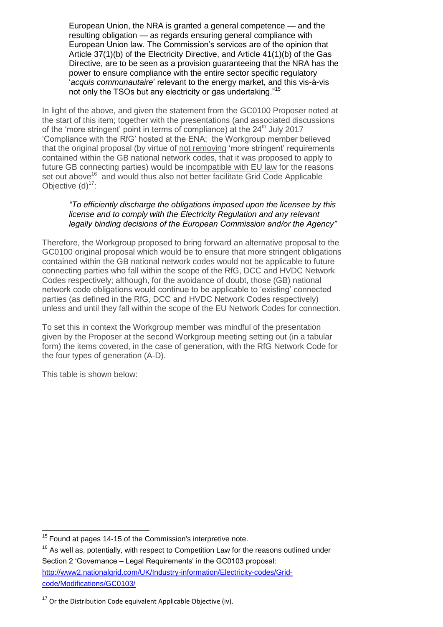European Union, the NRA is granted a general competence — and the resulting obligation — as regards ensuring general compliance with European Union law. The Commission's services are of the opinion that Article 37(1)(b) of the Electricity Directive, and Article 41(1)(b) of the Gas Directive, are to be seen as a provision guaranteeing that the NRA has the power to ensure compliance with the entire sector specific regulatory '*acquis communautaire*' relevant to the energy market, and this vis-à-vis not only the TSOs but any electricity or gas undertaking."<sup>15</sup>

In light of the above, and given the statement from the GC0100 Proposer noted at the start of this item; together with the presentations (and associated discussions of the 'more stringent' point in terms of compliance) at the  $24<sup>th</sup>$  July 2017 'Compliance with the RfG' hosted at the ENA; the Workgroup member believed that the original proposal (by virtue of not removing 'more stringent' requirements contained within the GB national network codes, that it was proposed to apply to future GB connecting parties) would be incompatible with EU law for the reasons set out above<sup>16</sup> and would thus also not better facilitate Grid Code Applicable Objective  $(d)^{17}$ :

#### *"To efficiently discharge the obligations imposed upon the licensee by this license and to comply with the Electricity Regulation and any relevant legally binding decisions of the European Commission and/or the Agency"*

Therefore, the Workgroup proposed to bring forward an alternative proposal to the GC0100 original proposal which would be to ensure that more stringent obligations contained within the GB national network codes would not be applicable to future connecting parties who fall within the scope of the RfG, DCC and HVDC Network Codes respectively; although, for the avoidance of doubt, those (GB) national network code obligations would continue to be applicable to 'existing' connected parties (as defined in the RfG, DCC and HVDC Network Codes respectively) unless and until they fall within the scope of the EU Network Codes for connection.

To set this in context the Workgroup member was mindful of the presentation given by the Proposer at the second Workgroup meeting setting out (in a tabular form) the items covered, in the case of generation, with the RfG Network Code for the four types of generation (A-D).

This table is shown below:

 $16$  As well as, potentially, with respect to Competition Law for the reasons outlined under Section 2 'Governance – Legal Requirements' in the GC0103 proposal: [http://www2.nationalgrid.com/UK/Industry-information/Electricity-codes/Grid](http://www2.nationalgrid.com/UK/Industry-information/Electricity-codes/Grid-code/Modifications/GC0103/)[code/Modifications/GC0103/](http://www2.nationalgrid.com/UK/Industry-information/Electricity-codes/Grid-code/Modifications/GC0103/)

<sup>-</sup> $15$  Found at pages 14-15 of the Commission's interpretive note.

 $17$  Or the Distribution Code equivalent Applicable Objective (iv).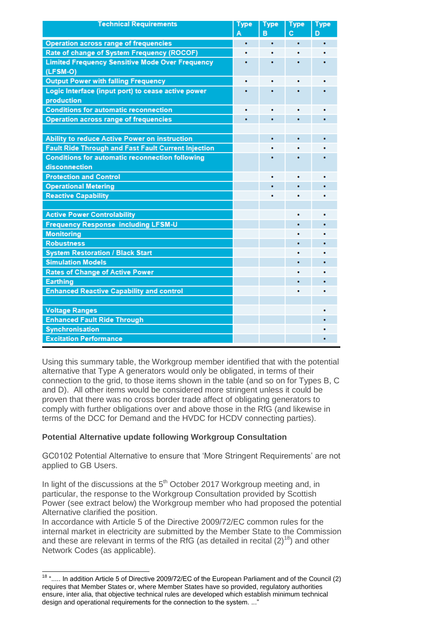| <b>Technical Requirements</b>                              | <u>Type</u> | <b>Type</b> | <b>Type</b> | <b>Type</b> |
|------------------------------------------------------------|-------------|-------------|-------------|-------------|
|                                                            |             | B           | c           | D           |
| <b>Operation across range of frequencies</b>               |             | ٠           |             |             |
| Rate of change of System Frequency (ROCOF)                 |             |             |             |             |
| <b>Limited Frequency Sensitive Mode Over Frequency</b>     |             |             |             |             |
| (LFSM-O)                                                   |             |             |             |             |
| <b>Output Power with falling Frequency</b>                 |             |             |             |             |
| Logic Interface (input port) to cease active power         |             |             |             |             |
| production                                                 |             |             |             |             |
| <b>Conditions for automatic reconnection</b>               |             |             |             |             |
| <b>Operation across range of frequencies</b>               |             |             |             |             |
|                                                            |             |             |             |             |
| Ability to reduce Active Power on instruction              |             |             |             |             |
| <b>Fault Ride Through and Fast Fault Current Injection</b> |             |             |             |             |
| <b>Conditions for automatic reconnection following</b>     |             |             |             |             |
| disconnection                                              |             |             |             |             |
| <b>Protection and Control</b>                              |             |             |             |             |
| <b>Operational Metering</b>                                |             |             |             |             |
| <b>Reactive Capability</b>                                 |             |             |             |             |
|                                                            |             |             |             |             |
| <b>Active Power Controlability</b>                         |             |             |             |             |
| <b>Frequency Response including LFSM-U</b>                 |             |             |             |             |
| <b>Monitoring</b>                                          |             |             |             |             |
| <b>Robustness</b>                                          |             |             |             |             |
| <b>System Restoration / Black Start</b>                    |             |             |             |             |
| <b>Simulation Models</b>                                   |             |             |             |             |
| <b>Rates of Change of Active Power</b>                     |             |             |             |             |
| Earthing                                                   |             |             |             |             |
| <b>Enhanced Reactive Capability and control</b>            |             |             |             |             |
|                                                            |             |             |             |             |
| <b>Voltage Ranges</b>                                      |             |             |             |             |
| <b>Enhanced Fault Ride Through</b>                         |             |             |             |             |
| <b>Synchronisation</b>                                     |             |             |             |             |
| <b>Excitation Performance</b>                              |             |             |             |             |
|                                                            |             |             |             |             |

Using this summary table, the Workgroup member identified that with the potential alternative that Type A generators would only be obligated, in terms of their connection to the grid, to those items shown in the table (and so on for Types B, C and D). All other items would be considered more stringent unless it could be proven that there was no cross border trade affect of obligating generators to comply with further obligations over and above those in the RfG (and likewise in terms of the DCC for Demand and the HVDC for HCDV connecting parties).

#### **Potential Alternative update following Workgroup Consultation**

GC0102 Potential Alternative to ensure that 'More Stringent Requirements' are not applied to GB Users.

In light of the discussions at the  $5<sup>th</sup>$  October 2017 Workgroup meeting and, in particular, the response to the Workgroup Consultation provided by Scottish Power (see extract below) the Workgroup member who had proposed the potential Alternative clarified the position.

In accordance with Article 5 of the Directive 2009/72/EC common rules for the internal market in electricity are submitted by the Member State to the Commission and these are relevant in terms of the RfG (as detailed in recital  $(2)^{18}$ ) and other Network Codes (as applicable).

<sup>-</sup> $18$  "..... In addition Article 5 of Directive 2009/72/EC of the European Parliament and of the Council (2) requires that Member States or, where Member States have so provided, regulatory authorities ensure, inter alia, that objective technical rules are developed which establish minimum technical design and operational requirements for the connection to the system. ..."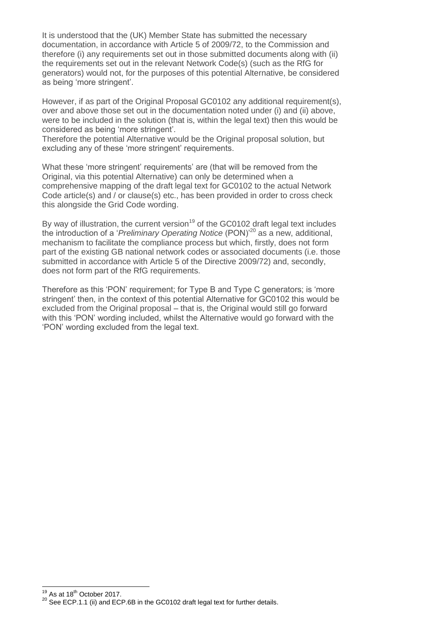It is understood that the (UK) Member State has submitted the necessary documentation, in accordance with Article 5 of 2009/72, to the Commission and therefore (i) any requirements set out in those submitted documents along with (ii) the requirements set out in the relevant Network Code(s) (such as the RfG for generators) would not, for the purposes of this potential Alternative, be considered as being 'more stringent'.

However, if as part of the Original Proposal GC0102 any additional requirement(s), over and above those set out in the documentation noted under (i) and (ii) above, were to be included in the solution (that is, within the legal text) then this would be considered as being 'more stringent'.

Therefore the potential Alternative would be the Original proposal solution, but excluding any of these 'more stringent' requirements.

What these 'more stringent' requirements' are (that will be removed from the Original, via this potential Alternative) can only be determined when a comprehensive mapping of the draft legal text for GC0102 to the actual Network Code article(s) and / or clause(s) etc., has been provided in order to cross check this alongside the Grid Code wording.

By way of illustration, the current version<sup>19</sup> of the GC0102 draft legal text includes the introduction of a '*Preliminary Operating Notice* (PON)'<sup>20</sup> as a new, additional, mechanism to facilitate the compliance process but which, firstly, does not form part of the existing GB national network codes or associated documents (i.e. those submitted in accordance with Article 5 of the Directive 2009/72) and, secondly, does not form part of the RfG requirements.

Therefore as this 'PON' requirement; for Type B and Type C generators; is 'more stringent' then, in the context of this potential Alternative for GC0102 this would be excluded from the Original proposal – that is, the Original would still go forward with this 'PON' wording included, whilst the Alternative would go forward with the 'PON' wording excluded from the legal text.

<sup>-</sup> $19$  As at 18<sup>th</sup> October 2017.

<sup>&</sup>lt;sup>20</sup> See ECP.1.1 (ii) and ECP.6B in the GC0102 draft legal text for further details.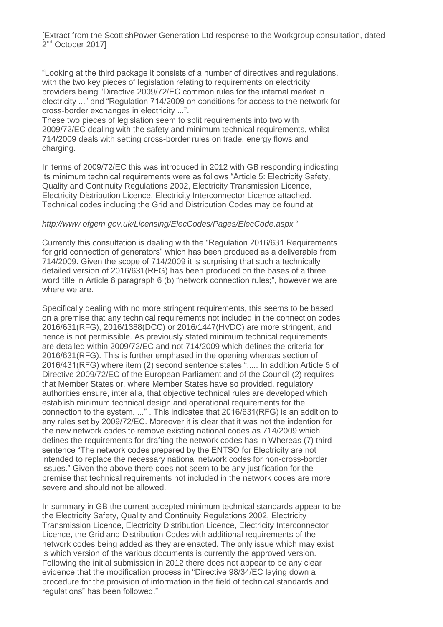[Extract from the ScottishPower Generation Ltd response to the Workgroup consultation, dated 2<sup>nd</sup> October 2017]

"Looking at the third package it consists of a number of directives and regulations, with the two key pieces of legislation relating to requirements on electricity providers being "Directive 2009/72/EC common rules for the internal market in electricity ..." and "Regulation 714/2009 on conditions for access to the network for cross-border exchanges in electricity ...".

These two pieces of legislation seem to split requirements into two with 2009/72/EC dealing with the safety and minimum technical requirements, whilst 714/2009 deals with setting cross-border rules on trade, energy flows and charging.

In terms of 2009/72/EC this was introduced in 2012 with GB responding indicating its minimum technical requirements were as follows "Article 5: Electricity Safety, Quality and Continuity Regulations 2002, Electricity Transmission Licence, Electricity Distribution Licence, Electricity Interconnector Licence attached. Technical codes including the Grid and Distribution Codes may be found at

#### *http://www.ofgem.gov.uk/Licensing/ElecCodes/Pages/ElecCode.aspx* "

Currently this consultation is dealing with the "Regulation 2016/631 Requirements for grid connection of generators" which has been produced as a deliverable from 714/2009. Given the scope of 714/2009 it is surprising that such a technically detailed version of 2016/631(RFG) has been produced on the bases of a three word title in Article 8 paragraph 6 (b) "network connection rules;", however we are where we are.

Specifically dealing with no more stringent requirements, this seems to be based on a premise that any technical requirements not included in the connection codes 2016/631(RFG), 2016/1388(DCC) or 2016/1447(HVDC) are more stringent, and hence is not permissible. As previously stated minimum technical requirements are detailed within 2009/72/EC and not 714/2009 which defines the criteria for 2016/631(RFG). This is further emphased in the opening whereas section of 2016/431(RFG) where item (2) second sentence states "..... In addition Article 5 of Directive 2009/72/EC of the European Parliament and of the Council (2) requires that Member States or, where Member States have so provided, regulatory authorities ensure, inter alia, that objective technical rules are developed which establish minimum technical design and operational requirements for the connection to the system. ..." . This indicates that 2016/631(RFG) is an addition to any rules set by 2009/72/EC. Moreover it is clear that it was not the indention for the new network codes to remove existing national codes as 714/2009 which defines the requirements for drafting the network codes has in Whereas (7) third sentence "The network codes prepared by the ENTSO for Electricity are not intended to replace the necessary national network codes for non-cross-border issues." Given the above there does not seem to be any justification for the premise that technical requirements not included in the network codes are more severe and should not be allowed.

In summary in GB the current accepted minimum technical standards appear to be the Electricity Safety, Quality and Continuity Regulations 2002, Electricity Transmission Licence, Electricity Distribution Licence, Electricity Interconnector Licence, the Grid and Distribution Codes with additional requirements of the network codes being added as they are enacted. The only issue which may exist is which version of the various documents is currently the approved version. Following the initial submission in 2012 there does not appear to be any clear evidence that the modification process in "Directive 98/34/EC laying down a procedure for the provision of information in the field of technical standards and regulations" has been followed."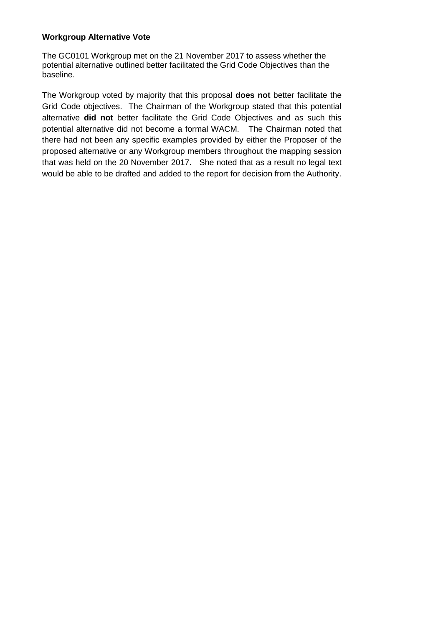#### **Workgroup Alternative Vote**

The GC0101 Workgroup met on the 21 November 2017 to assess whether the potential alternative outlined better facilitated the Grid Code Objectives than the baseline.

The Workgroup voted by majority that this proposal **does not** better facilitate the Grid Code objectives. The Chairman of the Workgroup stated that this potential alternative **did not** better facilitate the Grid Code Objectives and as such this potential alternative did not become a formal WACM. The Chairman noted that there had not been any specific examples provided by either the Proposer of the proposed alternative or any Workgroup members throughout the mapping session that was held on the 20 November 2017. She noted that as a result no legal text would be able to be drafted and added to the report for decision from the Authority.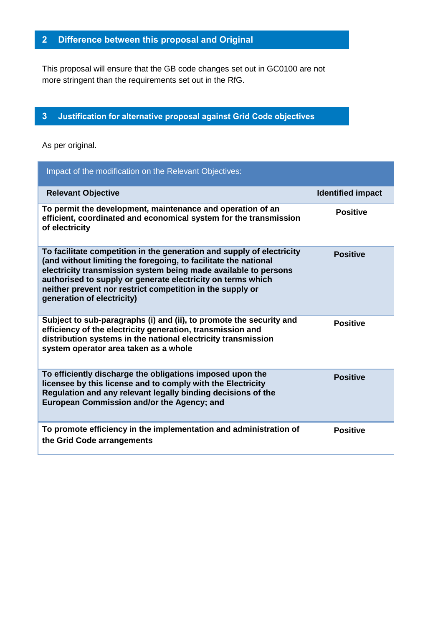# **2 Difference between this proposal and Original**

This proposal will ensure that the GB code changes set out in GC0100 are not more stringent than the requirements set out in the RfG.

# <span id="page-11-0"></span>**3 Justification for alternative proposal against Grid Code objectives**

As per original.

| Impact of the modification on the Relevant Objectives:                                                                                                                                                                                                                                                                                                                |                          |
|-----------------------------------------------------------------------------------------------------------------------------------------------------------------------------------------------------------------------------------------------------------------------------------------------------------------------------------------------------------------------|--------------------------|
| <b>Relevant Objective</b>                                                                                                                                                                                                                                                                                                                                             | <b>Identified impact</b> |
| To permit the development, maintenance and operation of an<br>efficient, coordinated and economical system for the transmission<br>of electricity                                                                                                                                                                                                                     | <b>Positive</b>          |
| To facilitate competition in the generation and supply of electricity<br>(and without limiting the foregoing, to facilitate the national<br>electricity transmission system being made available to persons<br>authorised to supply or generate electricity on terms which<br>neither prevent nor restrict competition in the supply or<br>generation of electricity) | <b>Positive</b>          |
| Subject to sub-paragraphs (i) and (ii), to promote the security and<br>efficiency of the electricity generation, transmission and<br>distribution systems in the national electricity transmission<br>system operator area taken as a whole                                                                                                                           | <b>Positive</b>          |
| To efficiently discharge the obligations imposed upon the<br>licensee by this license and to comply with the Electricity<br>Regulation and any relevant legally binding decisions of the<br>European Commission and/or the Agency; and                                                                                                                                | <b>Positive</b>          |
| To promote efficiency in the implementation and administration of<br>the Grid Code arrangements                                                                                                                                                                                                                                                                       | <b>Positive</b>          |